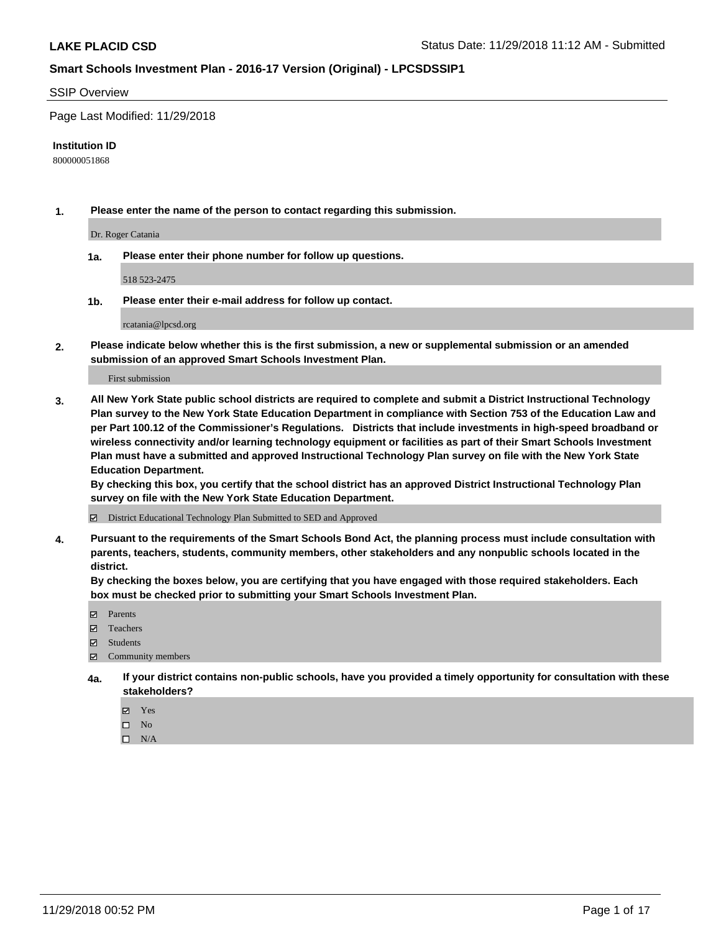## SSIP Overview

Page Last Modified: 11/29/2018

#### **Institution ID**

800000051868

**1. Please enter the name of the person to contact regarding this submission.**

Dr. Roger Catania

**1a. Please enter their phone number for follow up questions.**

518 523-2475

**1b. Please enter their e-mail address for follow up contact.**

rcatania@lpcsd.org

**2. Please indicate below whether this is the first submission, a new or supplemental submission or an amended submission of an approved Smart Schools Investment Plan.**

First submission

**3. All New York State public school districts are required to complete and submit a District Instructional Technology Plan survey to the New York State Education Department in compliance with Section 753 of the Education Law and per Part 100.12 of the Commissioner's Regulations. Districts that include investments in high-speed broadband or wireless connectivity and/or learning technology equipment or facilities as part of their Smart Schools Investment Plan must have a submitted and approved Instructional Technology Plan survey on file with the New York State Education Department.** 

**By checking this box, you certify that the school district has an approved District Instructional Technology Plan survey on file with the New York State Education Department.**

District Educational Technology Plan Submitted to SED and Approved

**4. Pursuant to the requirements of the Smart Schools Bond Act, the planning process must include consultation with parents, teachers, students, community members, other stakeholders and any nonpublic schools located in the district.** 

**By checking the boxes below, you are certifying that you have engaged with those required stakeholders. Each box must be checked prior to submitting your Smart Schools Investment Plan.**

- **□** Parents
- Teachers
- Students
- $\boxtimes$  Community members
- **4a. If your district contains non-public schools, have you provided a timely opportunity for consultation with these stakeholders?**
	- Yes
	- $\qquad \qquad$  No
	- $\square$  N/A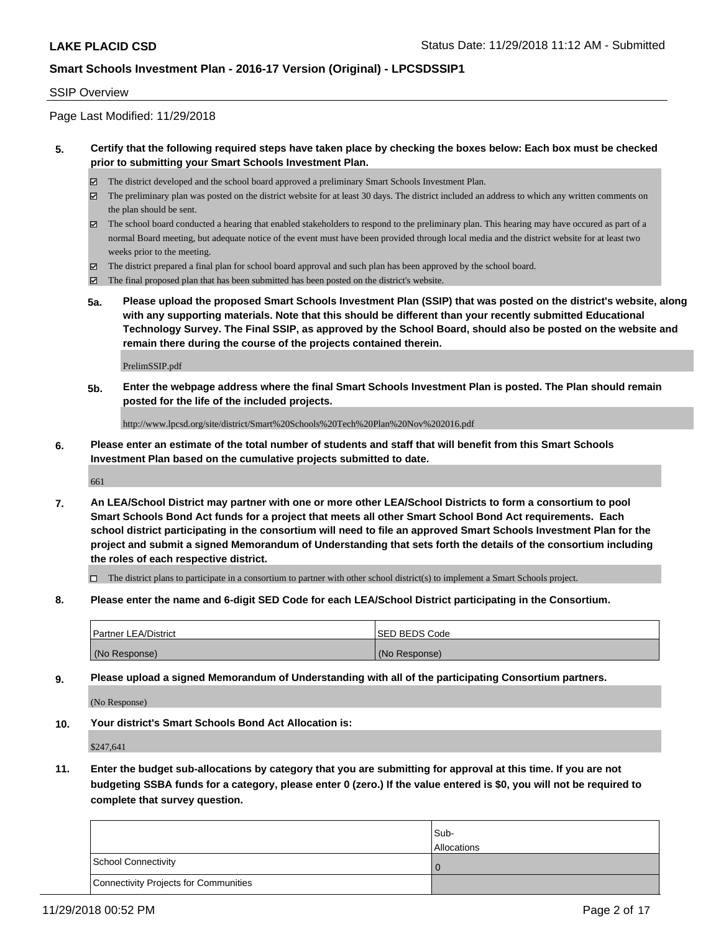## SSIP Overview

Page Last Modified: 11/29/2018

## **5. Certify that the following required steps have taken place by checking the boxes below: Each box must be checked prior to submitting your Smart Schools Investment Plan.**

- The district developed and the school board approved a preliminary Smart Schools Investment Plan.
- $\boxtimes$  The preliminary plan was posted on the district website for at least 30 days. The district included an address to which any written comments on the plan should be sent.
- $\boxtimes$  The school board conducted a hearing that enabled stakeholders to respond to the preliminary plan. This hearing may have occured as part of a normal Board meeting, but adequate notice of the event must have been provided through local media and the district website for at least two weeks prior to the meeting.
- The district prepared a final plan for school board approval and such plan has been approved by the school board.
- $\boxtimes$  The final proposed plan that has been submitted has been posted on the district's website.
- **5a. Please upload the proposed Smart Schools Investment Plan (SSIP) that was posted on the district's website, along with any supporting materials. Note that this should be different than your recently submitted Educational Technology Survey. The Final SSIP, as approved by the School Board, should also be posted on the website and remain there during the course of the projects contained therein.**

PrelimSSIP.pdf

**5b. Enter the webpage address where the final Smart Schools Investment Plan is posted. The Plan should remain posted for the life of the included projects.**

http://www.lpcsd.org/site/district/Smart%20Schools%20Tech%20Plan%20Nov%202016.pdf

**6. Please enter an estimate of the total number of students and staff that will benefit from this Smart Schools Investment Plan based on the cumulative projects submitted to date.**

661

**7. An LEA/School District may partner with one or more other LEA/School Districts to form a consortium to pool Smart Schools Bond Act funds for a project that meets all other Smart School Bond Act requirements. Each school district participating in the consortium will need to file an approved Smart Schools Investment Plan for the project and submit a signed Memorandum of Understanding that sets forth the details of the consortium including the roles of each respective district.**

 $\Box$  The district plans to participate in a consortium to partner with other school district(s) to implement a Smart Schools project.

**8. Please enter the name and 6-digit SED Code for each LEA/School District participating in the Consortium.**

| <b>Partner LEA/District</b> | <b>ISED BEDS Code</b> |
|-----------------------------|-----------------------|
| (No Response)               | (No Response)         |

**9. Please upload a signed Memorandum of Understanding with all of the participating Consortium partners.**

(No Response)

**10. Your district's Smart Schools Bond Act Allocation is:**

\$247,641

**11. Enter the budget sub-allocations by category that you are submitting for approval at this time. If you are not budgeting SSBA funds for a category, please enter 0 (zero.) If the value entered is \$0, you will not be required to complete that survey question.**

|                                              | Sub-<br><b>Allocations</b> |
|----------------------------------------------|----------------------------|
| <b>School Connectivity</b>                   |                            |
| <b>Connectivity Projects for Communities</b> |                            |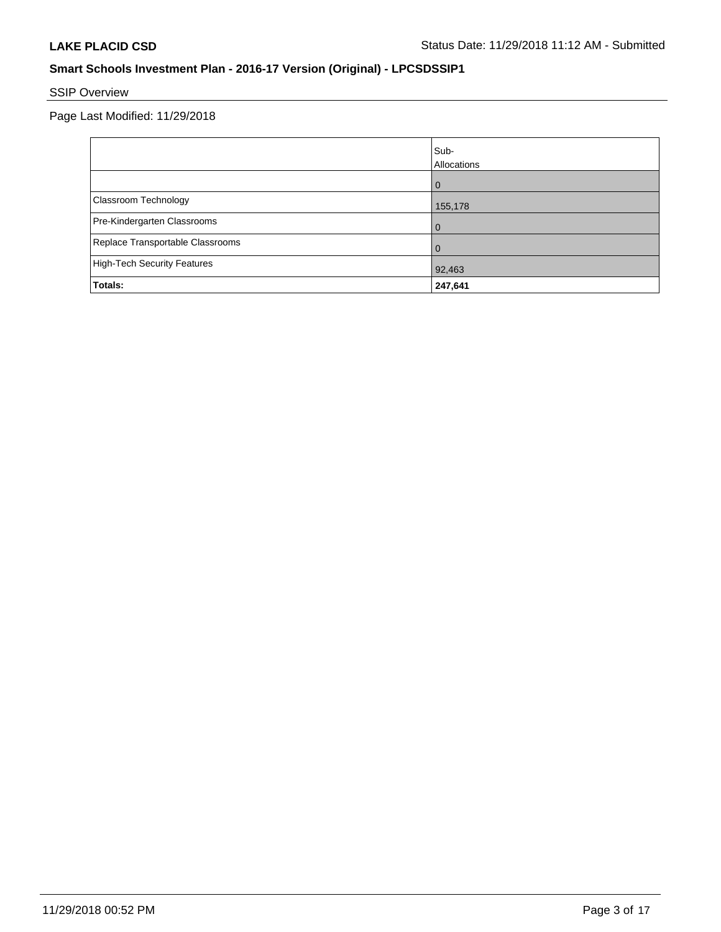# SSIP Overview

Page Last Modified: 11/29/2018

|                                    | Sub-<br>Allocations |
|------------------------------------|---------------------|
|                                    | $\Omega$            |
| Classroom Technology               | 155,178             |
| Pre-Kindergarten Classrooms        | $\Omega$            |
| Replace Transportable Classrooms   |                     |
| <b>High-Tech Security Features</b> | 92,463              |
| Totals:                            | 247,641             |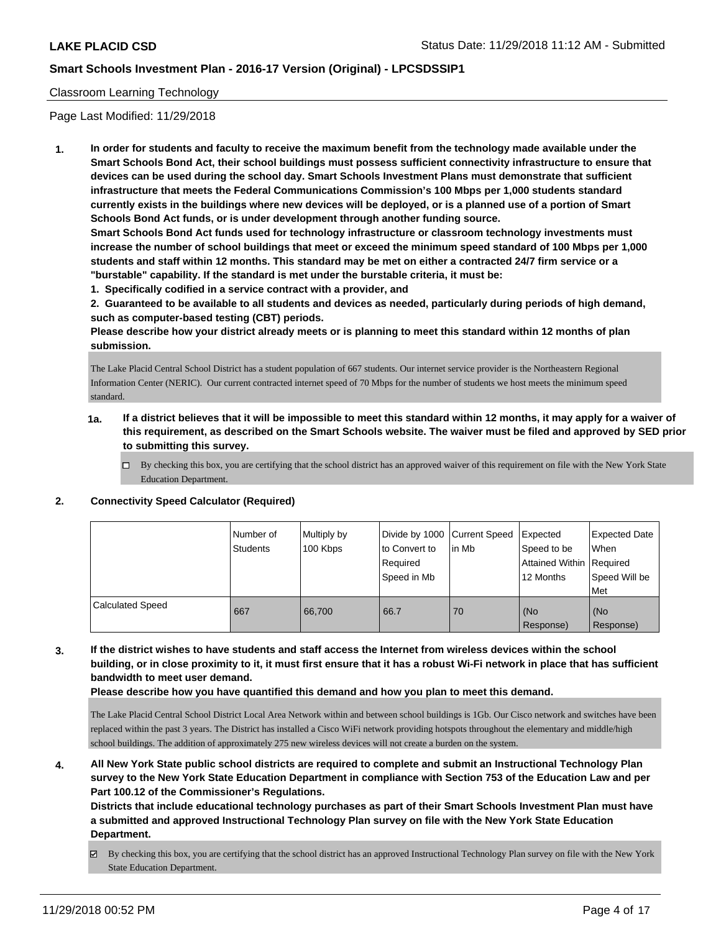## Classroom Learning Technology

Page Last Modified: 11/29/2018

**1. In order for students and faculty to receive the maximum benefit from the technology made available under the Smart Schools Bond Act, their school buildings must possess sufficient connectivity infrastructure to ensure that devices can be used during the school day. Smart Schools Investment Plans must demonstrate that sufficient infrastructure that meets the Federal Communications Commission's 100 Mbps per 1,000 students standard currently exists in the buildings where new devices will be deployed, or is a planned use of a portion of Smart Schools Bond Act funds, or is under development through another funding source.**

**Smart Schools Bond Act funds used for technology infrastructure or classroom technology investments must increase the number of school buildings that meet or exceed the minimum speed standard of 100 Mbps per 1,000 students and staff within 12 months. This standard may be met on either a contracted 24/7 firm service or a "burstable" capability. If the standard is met under the burstable criteria, it must be:**

**1. Specifically codified in a service contract with a provider, and**

**2. Guaranteed to be available to all students and devices as needed, particularly during periods of high demand, such as computer-based testing (CBT) periods.**

**Please describe how your district already meets or is planning to meet this standard within 12 months of plan submission.**

The Lake Placid Central School District has a student population of 667 students. Our internet service provider is the Northeastern Regional Information Center (NERIC). Our current contracted internet speed of 70 Mbps for the number of students we host meets the minimum speed standard.

- **1a. If a district believes that it will be impossible to meet this standard within 12 months, it may apply for a waiver of this requirement, as described on the Smart Schools website. The waiver must be filed and approved by SED prior to submitting this survey.**
	- By checking this box, you are certifying that the school district has an approved waiver of this requirement on file with the New York State Education Department.

## **2. Connectivity Speed Calculator (Required)**

|                         | Number of<br>Students | Multiply by<br>100 Kbps | Divide by 1000 Current Speed<br>to Convert to<br>Required<br>Speed in Mb | l in Mb | Expected<br>Speed to be<br>Attained Within Required<br>12 Months | Expected Date<br>When<br>Speed Will be<br>Met |
|-------------------------|-----------------------|-------------------------|--------------------------------------------------------------------------|---------|------------------------------------------------------------------|-----------------------------------------------|
| <b>Calculated Speed</b> | 667                   | 66.700                  | 66.7                                                                     | 70      | (No<br>Response)                                                 | (No<br>Response)                              |

## **3. If the district wishes to have students and staff access the Internet from wireless devices within the school building, or in close proximity to it, it must first ensure that it has a robust Wi-Fi network in place that has sufficient bandwidth to meet user demand.**

**Please describe how you have quantified this demand and how you plan to meet this demand.**

The Lake Placid Central School District Local Area Network within and between school buildings is 1Gb. Our Cisco network and switches have been replaced within the past 3 years. The District has installed a Cisco WiFi network providing hotspots throughout the elementary and middle/high school buildings. The addition of approximately 275 new wireless devices will not create a burden on the system.

**4. All New York State public school districts are required to complete and submit an Instructional Technology Plan survey to the New York State Education Department in compliance with Section 753 of the Education Law and per Part 100.12 of the Commissioner's Regulations.**

**Districts that include educational technology purchases as part of their Smart Schools Investment Plan must have a submitted and approved Instructional Technology Plan survey on file with the New York State Education Department.**

By checking this box, you are certifying that the school district has an approved Instructional Technology Plan survey on file with the New York State Education Department.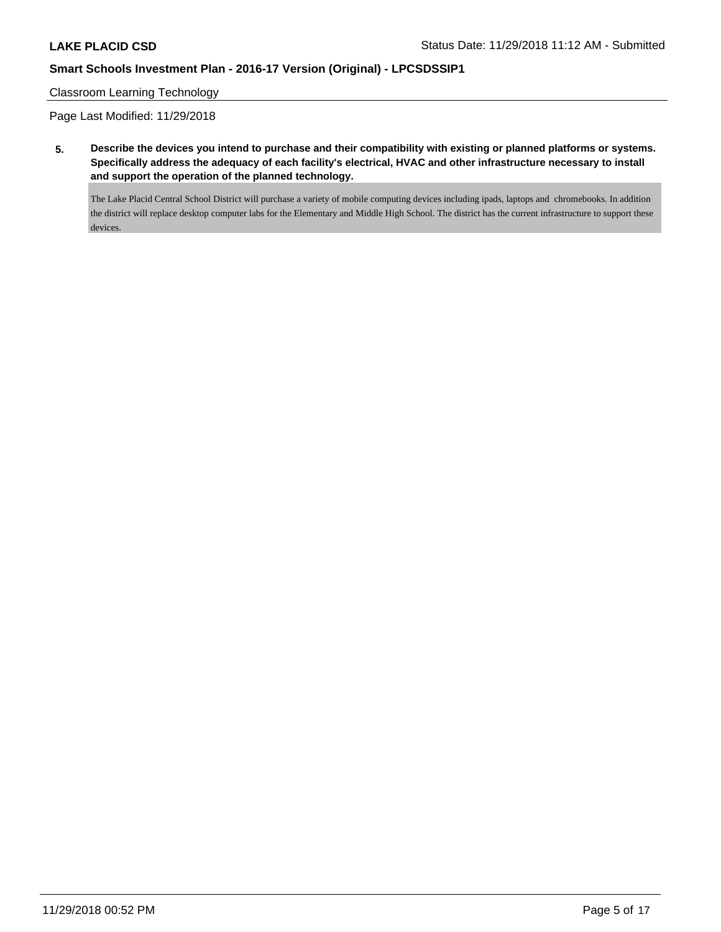### Classroom Learning Technology

Page Last Modified: 11/29/2018

**5. Describe the devices you intend to purchase and their compatibility with existing or planned platforms or systems. Specifically address the adequacy of each facility's electrical, HVAC and other infrastructure necessary to install and support the operation of the planned technology.**

The Lake Placid Central School District will purchase a variety of mobile computing devices including ipads, laptops and chromebooks. In addition the district will replace desktop computer labs for the Elementary and Middle High School. The district has the current infrastructure to support these devices.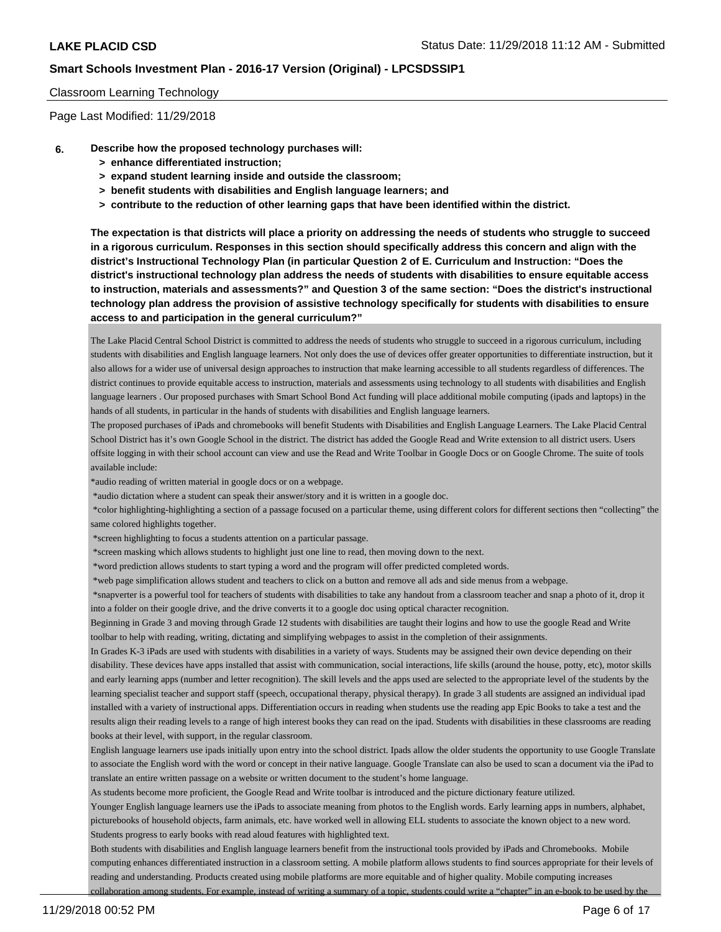#### Classroom Learning Technology

Page Last Modified: 11/29/2018

- **6. Describe how the proposed technology purchases will:**
	- **> enhance differentiated instruction;**
	- **> expand student learning inside and outside the classroom;**
	- **> benefit students with disabilities and English language learners; and**
	- **> contribute to the reduction of other learning gaps that have been identified within the district.**

**The expectation is that districts will place a priority on addressing the needs of students who struggle to succeed in a rigorous curriculum. Responses in this section should specifically address this concern and align with the district's Instructional Technology Plan (in particular Question 2 of E. Curriculum and Instruction: "Does the district's instructional technology plan address the needs of students with disabilities to ensure equitable access to instruction, materials and assessments?" and Question 3 of the same section: "Does the district's instructional technology plan address the provision of assistive technology specifically for students with disabilities to ensure access to and participation in the general curriculum?"**

The Lake Placid Central School District is committed to address the needs of students who struggle to succeed in a rigorous curriculum, including students with disabilities and English language learners. Not only does the use of devices offer greater opportunities to differentiate instruction, but it also allows for a wider use of universal design approaches to instruction that make learning accessible to all students regardless of differences. The district continues to provide equitable access to instruction, materials and assessments using technology to all students with disabilities and English language learners . Our proposed purchases with Smart School Bond Act funding will place additional mobile computing (ipads and laptops) in the hands of all students, in particular in the hands of students with disabilities and English language learners.

The proposed purchases of iPads and chromebooks will benefit Students with Disabilities and English Language Learners. The Lake Placid Central School District has it's own Google School in the district. The district has added the Google Read and Write extension to all district users. Users offsite logging in with their school account can view and use the Read and Write Toolbar in Google Docs or on Google Chrome. The suite of tools available include:

\*audio reading of written material in google docs or on a webpage.

\*audio dictation where a student can speak their answer/story and it is written in a google doc.

 \*color highlighting-highlighting a section of a passage focused on a particular theme, using different colors for different sections then "collecting" the same colored highlights together.

\*screen highlighting to focus a students attention on a particular passage.

\*screen masking which allows students to highlight just one line to read, then moving down to the next.

\*word prediction allows students to start typing a word and the program will offer predicted completed words.

\*web page simplification allows student and teachers to click on a button and remove all ads and side menus from a webpage.

 \*snapverter is a powerful tool for teachers of students with disabilities to take any handout from a classroom teacher and snap a photo of it, drop it into a folder on their google drive, and the drive converts it to a google doc using optical character recognition.

Beginning in Grade 3 and moving through Grade 12 students with disabilities are taught their logins and how to use the google Read and Write toolbar to help with reading, writing, dictating and simplifying webpages to assist in the completion of their assignments.

In Grades K-3 iPads are used with students with disabilities in a variety of ways. Students may be assigned their own device depending on their disability. These devices have apps installed that assist with communication, social interactions, life skills (around the house, potty, etc), motor skills and early learning apps (number and letter recognition). The skill levels and the apps used are selected to the appropriate level of the students by the learning specialist teacher and support staff (speech, occupational therapy, physical therapy). In grade 3 all students are assigned an individual ipad installed with a variety of instructional apps. Differentiation occurs in reading when students use the reading app Epic Books to take a test and the results align their reading levels to a range of high interest books they can read on the ipad. Students with disabilities in these classrooms are reading books at their level, with support, in the regular classroom.

English language learners use ipads initially upon entry into the school district. Ipads allow the older students the opportunity to use Google Translate to associate the English word with the word or concept in their native language. Google Translate can also be used to scan a document via the iPad to translate an entire written passage on a website or written document to the student's home language.

As students become more proficient, the Google Read and Write toolbar is introduced and the picture dictionary feature utilized.

Younger English language learners use the iPads to associate meaning from photos to the English words. Early learning apps in numbers, alphabet,

picturebooks of household objects, farm animals, etc. have worked well in allowing ELL students to associate the known object to a new word. Students progress to early books with read aloud features with highlighted text.

Both students with disabilities and English language learners benefit from the instructional tools provided by iPads and Chromebooks. Mobile computing enhances differentiated instruction in a classroom setting. A mobile platform allows students to find sources appropriate for their levels of reading and understanding. Products created using mobile platforms are more equitable and of higher quality. Mobile computing increases collaboration among students. For example, instead of writing a summary of a topic, students could write a "chapter" in an e-book to be used by the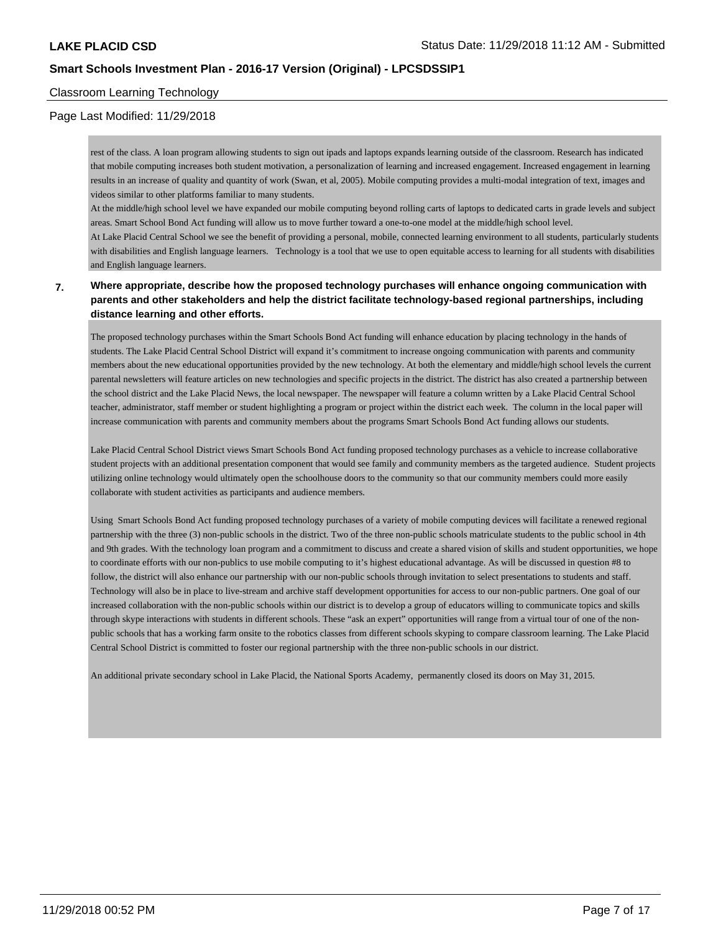## Classroom Learning Technology

## Page Last Modified: 11/29/2018

rest of the class. A loan program allowing students to sign out ipads and laptops expands learning outside of the classroom. Research has indicated that mobile computing increases both student motivation, a personalization of learning and increased engagement. Increased engagement in learning results in an increase of quality and quantity of work (Swan, et al, 2005). Mobile computing provides a multi-modal integration of text, images and videos similar to other platforms familiar to many students.

At the middle/high school level we have expanded our mobile computing beyond rolling carts of laptops to dedicated carts in grade levels and subject areas. Smart School Bond Act funding will allow us to move further toward a one-to-one model at the middle/high school level.

At Lake Placid Central School we see the benefit of providing a personal, mobile, connected learning environment to all students, particularly students with disabilities and English language learners. Technology is a tool that we use to open equitable access to learning for all students with disabilities and English language learners.

## **7. Where appropriate, describe how the proposed technology purchases will enhance ongoing communication with parents and other stakeholders and help the district facilitate technology-based regional partnerships, including distance learning and other efforts.**

The proposed technology purchases within the Smart Schools Bond Act funding will enhance education by placing technology in the hands of students. The Lake Placid Central School District will expand it's commitment to increase ongoing communication with parents and community members about the new educational opportunities provided by the new technology. At both the elementary and middle/high school levels the current parental newsletters will feature articles on new technologies and specific projects in the district. The district has also created a partnership between the school district and the Lake Placid News, the local newspaper. The newspaper will feature a column written by a Lake Placid Central School teacher, administrator, staff member or student highlighting a program or project within the district each week. The column in the local paper will increase communication with parents and community members about the programs Smart Schools Bond Act funding allows our students.

Lake Placid Central School District views Smart Schools Bond Act funding proposed technology purchases as a vehicle to increase collaborative student projects with an additional presentation component that would see family and community members as the targeted audience. Student projects utilizing online technology would ultimately open the schoolhouse doors to the community so that our community members could more easily collaborate with student activities as participants and audience members.

Using Smart Schools Bond Act funding proposed technology purchases of a variety of mobile computing devices will facilitate a renewed regional partnership with the three (3) non-public schools in the district. Two of the three non-public schools matriculate students to the public school in 4th and 9th grades. With the technology loan program and a commitment to discuss and create a shared vision of skills and student opportunities, we hope to coordinate efforts with our non-publics to use mobile computing to it's highest educational advantage. As will be discussed in question #8 to follow, the district will also enhance our partnership with our non-public schools through invitation to select presentations to students and staff. Technology will also be in place to live-stream and archive staff development opportunities for access to our non-public partners. One goal of our increased collaboration with the non-public schools within our district is to develop a group of educators willing to communicate topics and skills through skype interactions with students in different schools. These "ask an expert" opportunities will range from a virtual tour of one of the nonpublic schools that has a working farm onsite to the robotics classes from different schools skyping to compare classroom learning. The Lake Placid Central School District is committed to foster our regional partnership with the three non-public schools in our district.

An additional private secondary school in Lake Placid, the National Sports Academy, permanently closed its doors on May 31, 2015.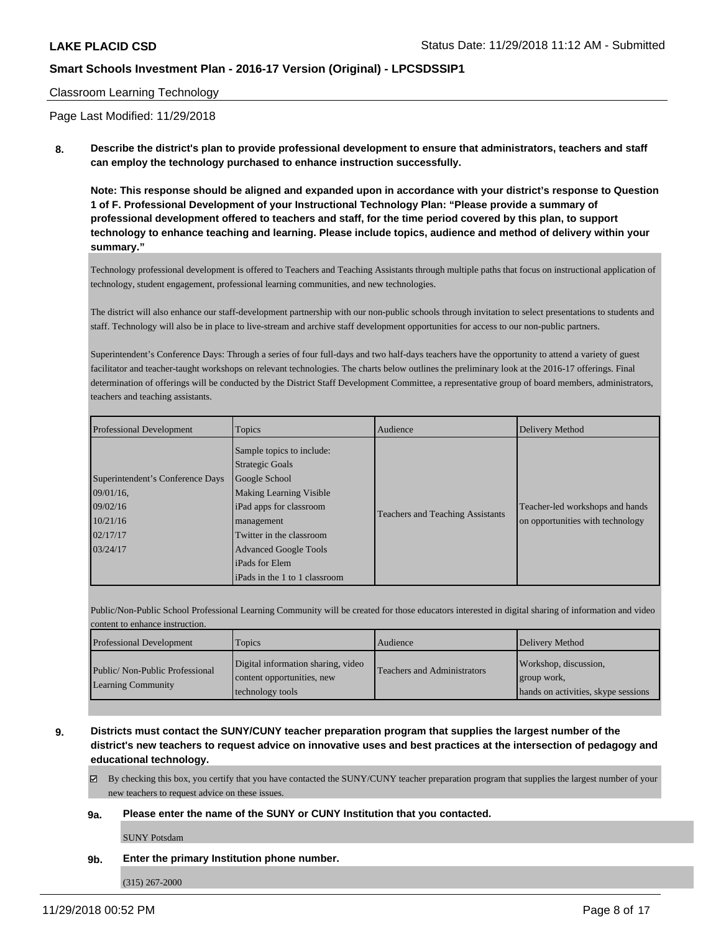### Classroom Learning Technology

Page Last Modified: 11/29/2018

**8. Describe the district's plan to provide professional development to ensure that administrators, teachers and staff can employ the technology purchased to enhance instruction successfully.**

**Note: This response should be aligned and expanded upon in accordance with your district's response to Question 1 of F. Professional Development of your Instructional Technology Plan: "Please provide a summary of professional development offered to teachers and staff, for the time period covered by this plan, to support technology to enhance teaching and learning. Please include topics, audience and method of delivery within your summary."**

Technology professional development is offered to Teachers and Teaching Assistants through multiple paths that focus on instructional application of technology, student engagement, professional learning communities, and new technologies.

The district will also enhance our staff-development partnership with our non-public schools through invitation to select presentations to students and staff. Technology will also be in place to live-stream and archive staff development opportunities for access to our non-public partners.

Superintendent's Conference Days: Through a series of four full-days and two half-days teachers have the opportunity to attend a variety of guest facilitator and teacher-taught workshops on relevant technologies. The charts below outlines the preliminary look at the 2016-17 offerings. Final determination of offerings will be conducted by the District Staff Development Committee, a representative group of board members, administrators, teachers and teaching assistants.

| <b>Professional Development</b>                                                                   | Topics                                                                                                                                                                                                                        | Audience                                | Delivery Method                                                     |
|---------------------------------------------------------------------------------------------------|-------------------------------------------------------------------------------------------------------------------------------------------------------------------------------------------------------------------------------|-----------------------------------------|---------------------------------------------------------------------|
| Superintendent's Conference Days<br>$109/01/16$ ,<br>09/02/16<br>10/21/16<br>02/17/17<br>03/24/17 | Sample topics to include:<br><b>Strategic Goals</b><br>Google School<br><b>Making Learning Visible</b><br>iPad apps for classroom<br>management<br>Twitter in the classroom<br><b>Advanced Google Tools</b><br>iPads for Elem | <b>Teachers and Teaching Assistants</b> | Teacher-led workshops and hands<br>on opportunities with technology |
|                                                                                                   | iPads in the 1 to 1 classroom                                                                                                                                                                                                 |                                         |                                                                     |

Public/Non-Public School Professional Learning Community will be created for those educators interested in digital sharing of information and video content to enhance instruction.

| <b>Professional Development</b>                             | Topics                                                                               | Audience                           | Delivery Method                                                             |
|-------------------------------------------------------------|--------------------------------------------------------------------------------------|------------------------------------|-----------------------------------------------------------------------------|
| Public/Non-Public Professional<br><b>Learning Community</b> | Digital information sharing, video<br>content opportunities, new<br>technology tools | <b>Teachers and Administrators</b> | Workshop, discussion,<br>group work,<br>hands on activities, skype sessions |

**9. Districts must contact the SUNY/CUNY teacher preparation program that supplies the largest number of the district's new teachers to request advice on innovative uses and best practices at the intersection of pedagogy and educational technology.**

 $\boxtimes$  By checking this box, you certify that you have contacted the SUNY/CUNY teacher preparation program that supplies the largest number of your new teachers to request advice on these issues.

#### **9a. Please enter the name of the SUNY or CUNY Institution that you contacted.**

SUNY Potsdam

**9b. Enter the primary Institution phone number.**

(315) 267-2000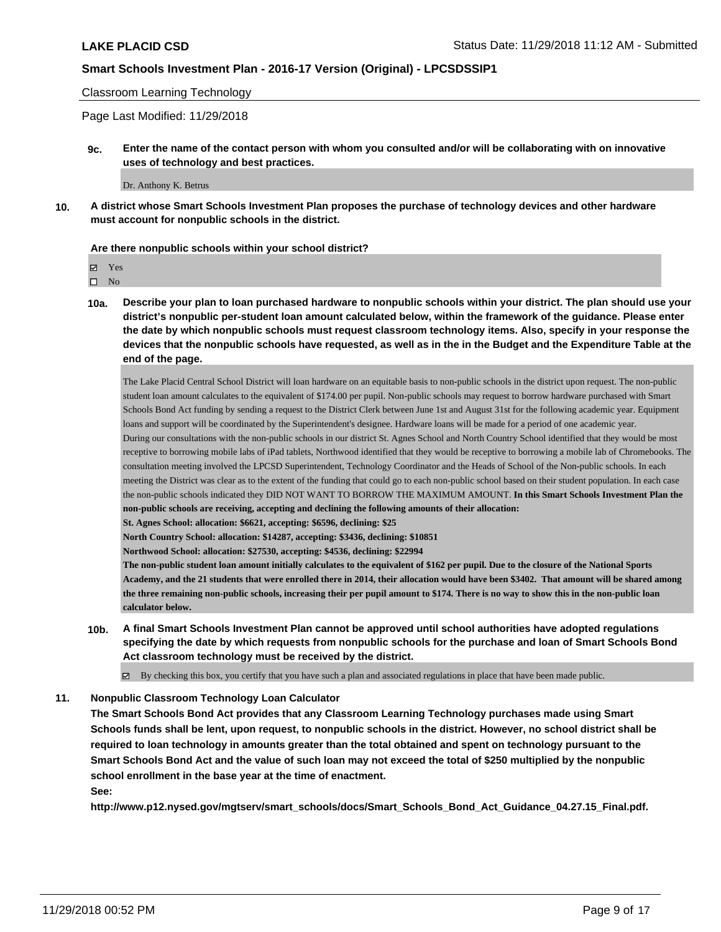Classroom Learning Technology

Page Last Modified: 11/29/2018

**9c. Enter the name of the contact person with whom you consulted and/or will be collaborating with on innovative uses of technology and best practices.**

Dr. Anthony K. Betrus

**10. A district whose Smart Schools Investment Plan proposes the purchase of technology devices and other hardware must account for nonpublic schools in the district.**

#### **Are there nonpublic schools within your school district?**

 $\hfill \square$  No

**10a. Describe your plan to loan purchased hardware to nonpublic schools within your district. The plan should use your district's nonpublic per-student loan amount calculated below, within the framework of the guidance. Please enter the date by which nonpublic schools must request classroom technology items. Also, specify in your response the devices that the nonpublic schools have requested, as well as in the in the Budget and the Expenditure Table at the end of the page.**

The Lake Placid Central School District will loan hardware on an equitable basis to non-public schools in the district upon request. The non-public student loan amount calculates to the equivalent of \$174.00 per pupil. Non-public schools may request to borrow hardware purchased with Smart Schools Bond Act funding by sending a request to the District Clerk between June 1st and August 31st for the following academic year. Equipment loans and support will be coordinated by the Superintendent's designee. Hardware loans will be made for a period of one academic year. During our consultations with the non-public schools in our district St. Agnes School and North Country School identified that they would be most receptive to borrowing mobile labs of iPad tablets, Northwood identified that they would be receptive to borrowing a mobile lab of Chromebooks. The consultation meeting involved the LPCSD Superintendent, Technology Coordinator and the Heads of School of the Non-public schools. In each meeting the District was clear as to the extent of the funding that could go to each non-public school based on their student population. In each case the non-public schools indicated they DID NOT WANT TO BORROW THE MAXIMUM AMOUNT. **In this Smart Schools Investment Plan the non-public schools are receiving, accepting and declining the following amounts of their allocation:**

**St. Agnes School: allocation: \$6621, accepting: \$6596, declining: \$25**

**North Country School: allocation: \$14287, accepting: \$3436, declining: \$10851**

**Northwood School: allocation: \$27530, accepting: \$4536, declining: \$22994**

**The non-public student loan amount initially calculates to the equivalent of \$162 per pupil. Due to the closure of the National Sports Academy, and the 21 students that were enrolled there in 2014, their allocation would have been \$3402. That amount will be shared among the three remaining non-public schools, increasing their per pupil amount to \$174. There is no way to show this in the non-public loan calculator below.**

**10b. A final Smart Schools Investment Plan cannot be approved until school authorities have adopted regulations specifying the date by which requests from nonpublic schools for the purchase and loan of Smart Schools Bond Act classroom technology must be received by the district.**

 $\boxtimes$  By checking this box, you certify that you have such a plan and associated regulations in place that have been made public.

#### **11. Nonpublic Classroom Technology Loan Calculator**

**The Smart Schools Bond Act provides that any Classroom Learning Technology purchases made using Smart Schools funds shall be lent, upon request, to nonpublic schools in the district. However, no school district shall be required to loan technology in amounts greater than the total obtained and spent on technology pursuant to the Smart Schools Bond Act and the value of such loan may not exceed the total of \$250 multiplied by the nonpublic school enrollment in the base year at the time of enactment.**

**See:**

**http://www.p12.nysed.gov/mgtserv/smart\_schools/docs/Smart\_Schools\_Bond\_Act\_Guidance\_04.27.15\_Final.pdf.**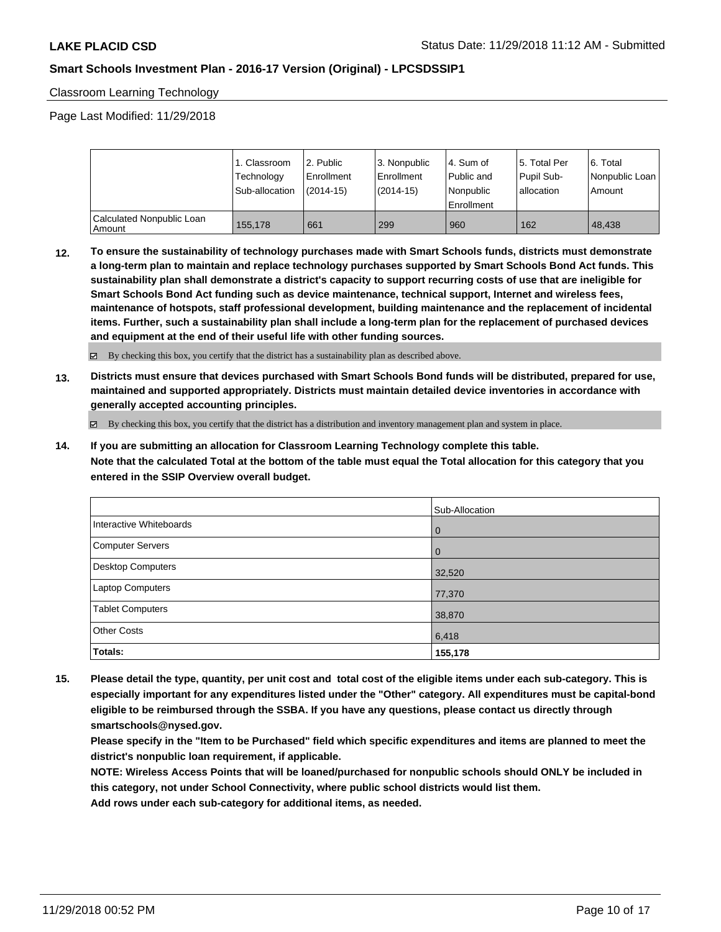Classroom Learning Technology

Page Last Modified: 11/29/2018

|                                       | <sub>1</sub> . Classroom<br>Technology<br>Sub-allocation | l 2. Public<br>Enrollment<br>(2014-15) | 3. Nonpublic<br>Enrollment<br>$(2014-15)$ | l 4. Sum of<br>Public and<br>Nonpublic<br>Enrollment | l 5. Total Per<br>Pupil Sub-<br>l allocation | 6. Total<br>Nonpublic Loan<br>Amount |
|---------------------------------------|----------------------------------------------------------|----------------------------------------|-------------------------------------------|------------------------------------------------------|----------------------------------------------|--------------------------------------|
| Calculated Nonpublic Loan<br>  Amount | 155,178                                                  | 661                                    | 299                                       | 960                                                  | 162                                          | 48.438                               |

**12. To ensure the sustainability of technology purchases made with Smart Schools funds, districts must demonstrate a long-term plan to maintain and replace technology purchases supported by Smart Schools Bond Act funds. This sustainability plan shall demonstrate a district's capacity to support recurring costs of use that are ineligible for Smart Schools Bond Act funding such as device maintenance, technical support, Internet and wireless fees, maintenance of hotspots, staff professional development, building maintenance and the replacement of incidental items. Further, such a sustainability plan shall include a long-term plan for the replacement of purchased devices and equipment at the end of their useful life with other funding sources.**

By checking this box, you certify that the district has a sustainability plan as described above.

**13. Districts must ensure that devices purchased with Smart Schools Bond funds will be distributed, prepared for use, maintained and supported appropriately. Districts must maintain detailed device inventories in accordance with generally accepted accounting principles.**

By checking this box, you certify that the district has a distribution and inventory management plan and system in place.

**14. If you are submitting an allocation for Classroom Learning Technology complete this table. Note that the calculated Total at the bottom of the table must equal the Total allocation for this category that you entered in the SSIP Overview overall budget.**

|                          | Sub-Allocation |
|--------------------------|----------------|
| Interactive Whiteboards  | $\overline{0}$ |
| <b>Computer Servers</b>  | $\overline{0}$ |
| <b>Desktop Computers</b> | 32,520         |
| Laptop Computers         | 77,370         |
| <b>Tablet Computers</b>  | 38,870         |
| <b>Other Costs</b>       | 6,418          |
| Totals:                  | 155,178        |

**15. Please detail the type, quantity, per unit cost and total cost of the eligible items under each sub-category. This is especially important for any expenditures listed under the "Other" category. All expenditures must be capital-bond eligible to be reimbursed through the SSBA. If you have any questions, please contact us directly through smartschools@nysed.gov.**

**Please specify in the "Item to be Purchased" field which specific expenditures and items are planned to meet the district's nonpublic loan requirement, if applicable.**

**NOTE: Wireless Access Points that will be loaned/purchased for nonpublic schools should ONLY be included in this category, not under School Connectivity, where public school districts would list them.**

**Add rows under each sub-category for additional items, as needed.**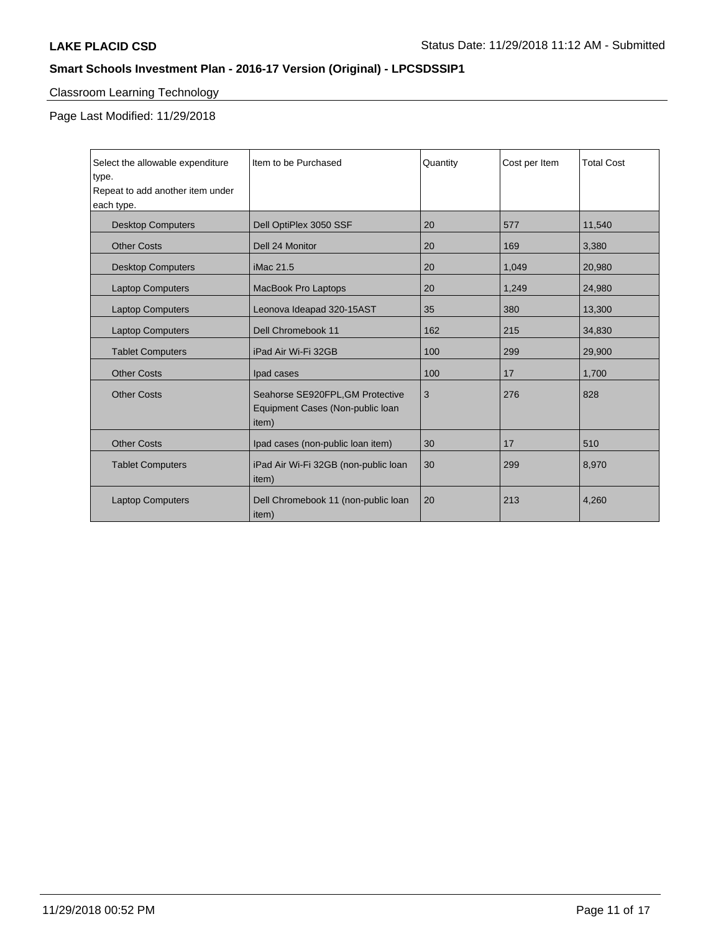# Classroom Learning Technology

Page Last Modified: 11/29/2018

| Select the allowable expenditure          | Item to be Purchased                          | Quantity | Cost per Item | <b>Total Cost</b> |
|-------------------------------------------|-----------------------------------------------|----------|---------------|-------------------|
| type.<br>Repeat to add another item under |                                               |          |               |                   |
| each type.                                |                                               |          |               |                   |
|                                           |                                               |          |               |                   |
| <b>Desktop Computers</b>                  | Dell OptiPlex 3050 SSF                        | 20       | 577           | 11,540            |
| <b>Other Costs</b>                        | Dell 24 Monitor                               | 20       | 169           | 3,380             |
| <b>Desktop Computers</b>                  | iMac 21.5                                     | 20       | 1,049         | 20,980            |
| <b>Laptop Computers</b>                   | MacBook Pro Laptops                           | 20       | 1,249         | 24,980            |
| <b>Laptop Computers</b>                   | Leonova Ideapad 320-15AST                     | 35       | 380           | 13,300            |
| <b>Laptop Computers</b>                   | Dell Chromebook 11                            | 162      | 215           | 34,830            |
| <b>Tablet Computers</b>                   | iPad Air Wi-Fi 32GB                           | 100      | 299           | 29,900            |
| <b>Other Costs</b>                        | Ipad cases                                    | 100      | 17            | 1,700             |
| <b>Other Costs</b>                        | Seahorse SE920FPL, GM Protective              | 3        | 276           | 828               |
|                                           | Equipment Cases (Non-public loan              |          |               |                   |
|                                           | item)                                         |          |               |                   |
| <b>Other Costs</b>                        | Ipad cases (non-public loan item)             | 30       | 17            | 510               |
|                                           |                                               |          |               |                   |
| <b>Tablet Computers</b>                   | iPad Air Wi-Fi 32GB (non-public loan<br>item) | 30       | 299           | 8,970             |
| <b>Laptop Computers</b>                   | Dell Chromebook 11 (non-public loan           | 20       | 213           | 4,260             |
|                                           | item)                                         |          |               |                   |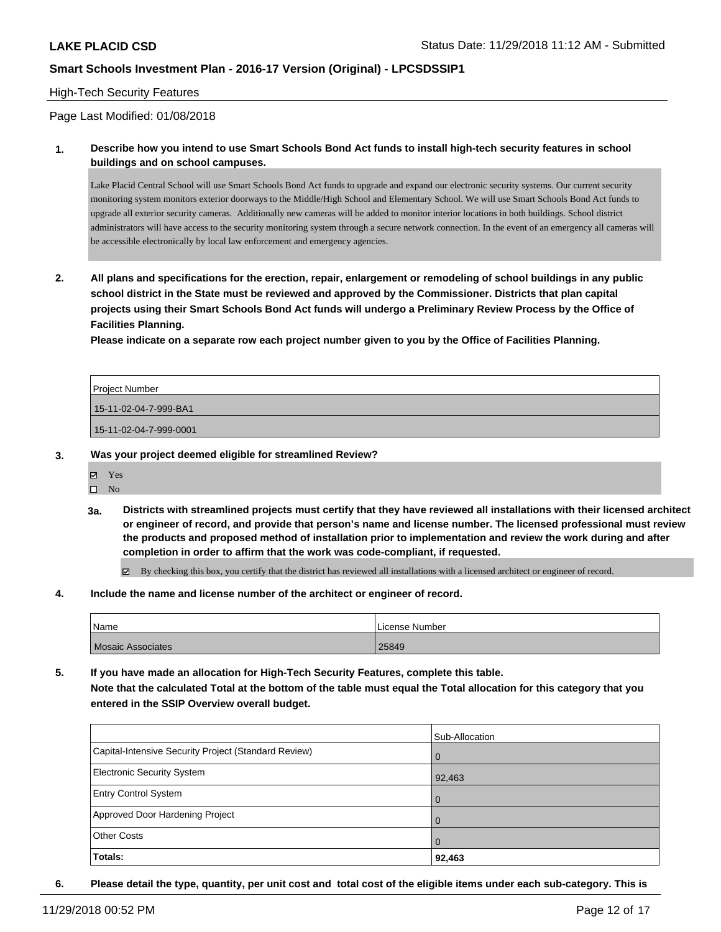## High-Tech Security Features

Page Last Modified: 01/08/2018

**1. Describe how you intend to use Smart Schools Bond Act funds to install high-tech security features in school buildings and on school campuses.**

Lake Placid Central School will use Smart Schools Bond Act funds to upgrade and expand our electronic security systems. Our current security monitoring system monitors exterior doorways to the Middle/High School and Elementary School. We will use Smart Schools Bond Act funds to upgrade all exterior security cameras. Additionally new cameras will be added to monitor interior locations in both buildings. School district administrators will have access to the security monitoring system through a secure network connection. In the event of an emergency all cameras will be accessible electronically by local law enforcement and emergency agencies.

**2. All plans and specifications for the erection, repair, enlargement or remodeling of school buildings in any public school district in the State must be reviewed and approved by the Commissioner. Districts that plan capital projects using their Smart Schools Bond Act funds will undergo a Preliminary Review Process by the Office of Facilities Planning.** 

**Please indicate on a separate row each project number given to you by the Office of Facilities Planning.**

| Project Number         |  |
|------------------------|--|
| 15-11-02-04-7-999-BA1  |  |
| 15-11-02-04-7-999-0001 |  |

- **3. Was your project deemed eligible for streamlined Review?**
	- Yes
	- $\square$  No
	- **3a. Districts with streamlined projects must certify that they have reviewed all installations with their licensed architect or engineer of record, and provide that person's name and license number. The licensed professional must review the products and proposed method of installation prior to implementation and review the work during and after completion in order to affirm that the work was code-compliant, if requested.**

 $\boxtimes$  By checking this box, you certify that the district has reviewed all installations with a licensed architect or engineer of record.

**4. Include the name and license number of the architect or engineer of record.**

| Name                     | License Number |
|--------------------------|----------------|
| <b>Mosaic Associates</b> | 25849          |

**5. If you have made an allocation for High-Tech Security Features, complete this table. Note that the calculated Total at the bottom of the table must equal the Total allocation for this category that you entered in the SSIP Overview overall budget.**

|                                                      | Sub-Allocation |
|------------------------------------------------------|----------------|
| Capital-Intensive Security Project (Standard Review) | l O            |
| <b>Electronic Security System</b>                    | 92,463         |
| Entry Control System                                 | l O            |
| Approved Door Hardening Project                      | $\Omega$       |
| <b>Other Costs</b>                                   | $\Omega$       |
| Totals:                                              | 92,463         |

**6. Please detail the type, quantity, per unit cost and total cost of the eligible items under each sub-category. This is**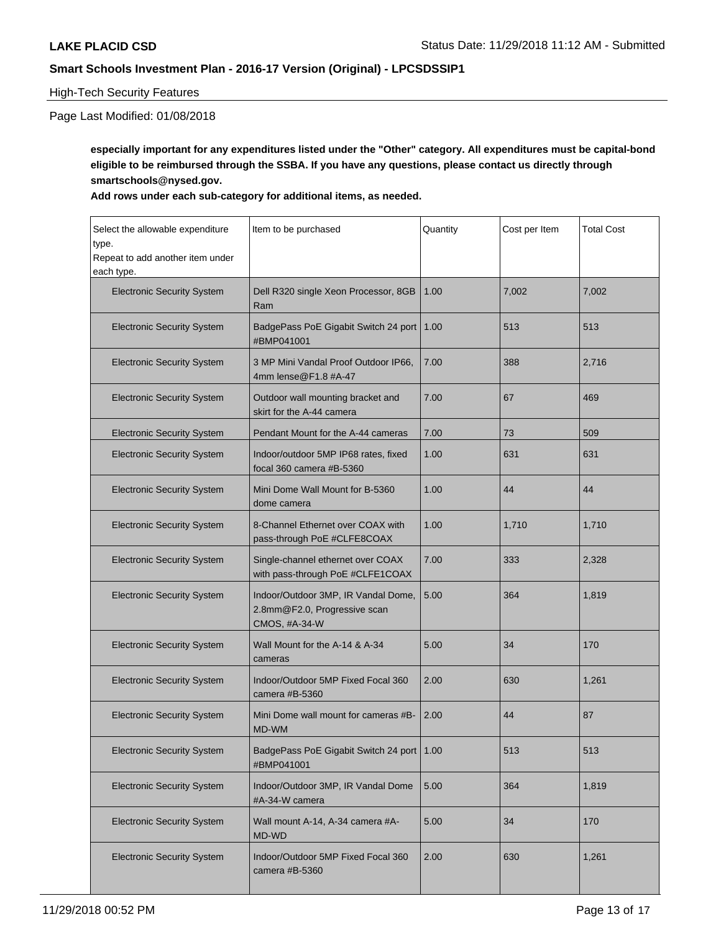## High-Tech Security Features

# Page Last Modified: 01/08/2018

**especially important for any expenditures listed under the "Other" category. All expenditures must be capital-bond eligible to be reimbursed through the SSBA. If you have any questions, please contact us directly through smartschools@nysed.gov.**

## **Add rows under each sub-category for additional items, as needed.**

| Select the allowable expenditure<br>type.<br>Repeat to add another item under | Item to be purchased                                                                 | Quantity | Cost per Item | <b>Total Cost</b> |
|-------------------------------------------------------------------------------|--------------------------------------------------------------------------------------|----------|---------------|-------------------|
| each type.                                                                    |                                                                                      | 1.00     |               |                   |
| <b>Electronic Security System</b>                                             | Dell R320 single Xeon Processor, 8GB<br>Ram                                          |          | 7,002         | 7,002             |
| <b>Electronic Security System</b>                                             | BadgePass PoE Gigabit Switch 24 port<br>#BMP041001                                   | 1.00     | 513           | 513               |
| <b>Electronic Security System</b>                                             | 3 MP Mini Vandal Proof Outdoor IP66.<br>4mm lense@F1.8 #A-47                         | 7.00     | 388           | 2,716             |
| <b>Electronic Security System</b>                                             | Outdoor wall mounting bracket and<br>skirt for the A-44 camera                       | 7.00     | 67            | 469               |
| <b>Electronic Security System</b>                                             | Pendant Mount for the A-44 cameras                                                   | 7.00     | 73            | 509               |
| <b>Electronic Security System</b>                                             | Indoor/outdoor 5MP IP68 rates, fixed<br>focal 360 camera #B-5360                     | 1.00     | 631           | 631               |
| <b>Electronic Security System</b>                                             | Mini Dome Wall Mount for B-5360<br>dome camera                                       | 1.00     | 44            | 44                |
| <b>Electronic Security System</b>                                             | 8-Channel Ethernet over COAX with<br>pass-through PoE #CLFE8COAX                     | 1.00     | 1,710         | 1,710             |
| <b>Electronic Security System</b>                                             | Single-channel ethernet over COAX<br>with pass-through PoE #CLFE1COAX                | 7.00     | 333           | 2,328             |
| <b>Electronic Security System</b>                                             | Indoor/Outdoor 3MP, IR Vandal Dome,<br>2.8mm@F2.0, Progressive scan<br>CMOS, #A-34-W | 5.00     | 364           | 1,819             |
| <b>Electronic Security System</b>                                             | Wall Mount for the A-14 & A-34<br>cameras                                            | 5.00     | 34            | 170               |
| <b>Electronic Security System</b>                                             | Indoor/Outdoor 5MP Fixed Focal 360<br>camera #B-5360                                 | 2.00     | 630           | 1,261             |
| <b>Electronic Security System</b>                                             | Mini Dome wall mount for cameras #B-<br>MD-WM                                        | 2.00     | 44            | 87                |
| <b>Electronic Security System</b>                                             | BadgePass PoE Gigabit Switch 24 port<br>#BMP041001                                   | 1.00     | 513           | 513               |
| <b>Electronic Security System</b>                                             | Indoor/Outdoor 3MP, IR Vandal Dome<br>#A-34-W camera                                 | 5.00     | 364           | 1,819             |
| <b>Electronic Security System</b>                                             | Wall mount A-14, A-34 camera #A-<br>MD-WD                                            | 5.00     | 34            | 170               |
| <b>Electronic Security System</b>                                             | Indoor/Outdoor 5MP Fixed Focal 360<br>camera #B-5360                                 | 2.00     | 630           | 1,261             |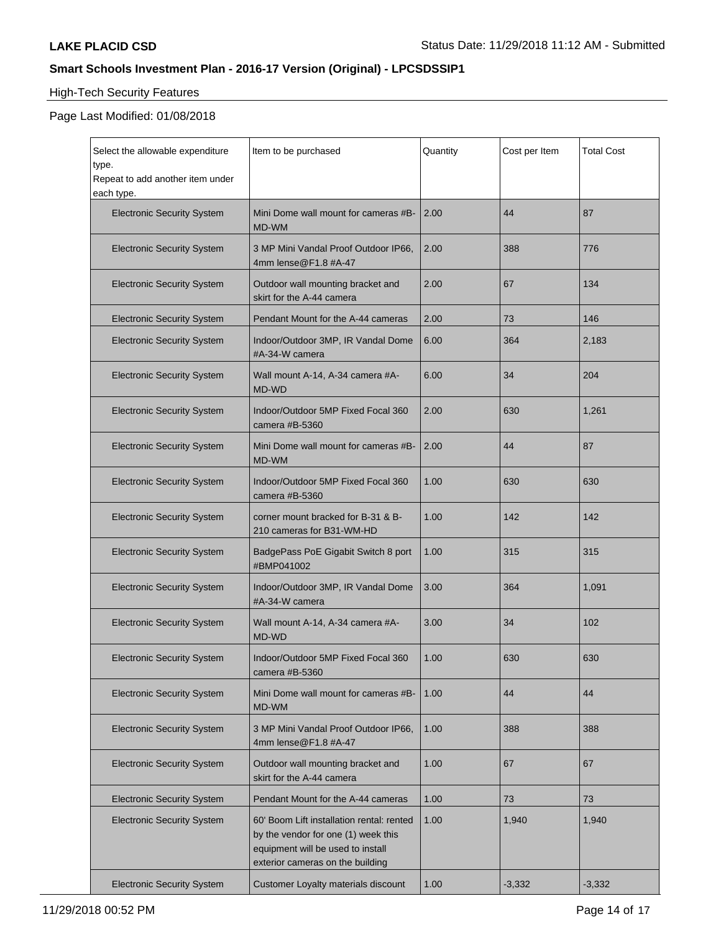# High-Tech Security Features

| Select the allowable expenditure<br>type.      | Item to be purchased                                                                                                                                      | Quantity | Cost per Item | <b>Total Cost</b> |
|------------------------------------------------|-----------------------------------------------------------------------------------------------------------------------------------------------------------|----------|---------------|-------------------|
| Repeat to add another item under<br>each type. |                                                                                                                                                           |          |               |                   |
| <b>Electronic Security System</b>              | Mini Dome wall mount for cameras #B-<br>MD-WM                                                                                                             | 2.00     | 44            | 87                |
| <b>Electronic Security System</b>              | 3 MP Mini Vandal Proof Outdoor IP66,<br>4mm lense@F1.8 #A-47                                                                                              | 2.00     | 388           | 776               |
| <b>Electronic Security System</b>              | Outdoor wall mounting bracket and<br>skirt for the A-44 camera                                                                                            | 2.00     | 67            | 134               |
| <b>Electronic Security System</b>              | Pendant Mount for the A-44 cameras                                                                                                                        | 2.00     | 73            | 146               |
| <b>Electronic Security System</b>              | Indoor/Outdoor 3MP, IR Vandal Dome<br>#A-34-W camera                                                                                                      | 6.00     | 364           | 2,183             |
| <b>Electronic Security System</b>              | Wall mount A-14, A-34 camera #A-<br>MD-WD                                                                                                                 | 6.00     | 34            | 204               |
| <b>Electronic Security System</b>              | Indoor/Outdoor 5MP Fixed Focal 360<br>camera #B-5360                                                                                                      | 2.00     | 630           | 1,261             |
| <b>Electronic Security System</b>              | Mini Dome wall mount for cameras #B-<br>MD-WM                                                                                                             | 2.00     | 44            | 87                |
| <b>Electronic Security System</b>              | Indoor/Outdoor 5MP Fixed Focal 360<br>camera #B-5360                                                                                                      | 1.00     | 630           | 630               |
| <b>Electronic Security System</b>              | corner mount bracked for B-31 & B-<br>210 cameras for B31-WM-HD                                                                                           | 1.00     | 142           | 142               |
| <b>Electronic Security System</b>              | BadgePass PoE Gigabit Switch 8 port<br>#BMP041002                                                                                                         | 1.00     | 315           | 315               |
| <b>Electronic Security System</b>              | Indoor/Outdoor 3MP, IR Vandal Dome<br>#A-34-W camera                                                                                                      | 3.00     | 364           | 1,091             |
| <b>Electronic Security System</b>              | Wall mount A-14, A-34 camera #A-<br>MD-WD                                                                                                                 | 3.00     | 34            | 102               |
| <b>Electronic Security System</b>              | Indoor/Outdoor 5MP Fixed Focal 360<br>camera #B-5360                                                                                                      | 1.00     | 630           | 630               |
| <b>Electronic Security System</b>              | Mini Dome wall mount for cameras #B-<br>MD-WM                                                                                                             | 1.00     | 44            | 44                |
| <b>Electronic Security System</b>              | 3 MP Mini Vandal Proof Outdoor IP66,<br>4mm lense@F1.8 #A-47                                                                                              | 1.00     | 388           | 388               |
| <b>Electronic Security System</b>              | Outdoor wall mounting bracket and<br>skirt for the A-44 camera                                                                                            | 1.00     | 67            | 67                |
| <b>Electronic Security System</b>              | Pendant Mount for the A-44 cameras                                                                                                                        | 1.00     | 73            | 73                |
| <b>Electronic Security System</b>              | 60' Boom Lift installation rental: rented<br>by the vendor for one (1) week this<br>equipment will be used to install<br>exterior cameras on the building | 1.00     | 1,940         | 1,940             |
| <b>Electronic Security System</b>              | Customer Loyalty materials discount                                                                                                                       | 1.00     | $-3,332$      | $-3,332$          |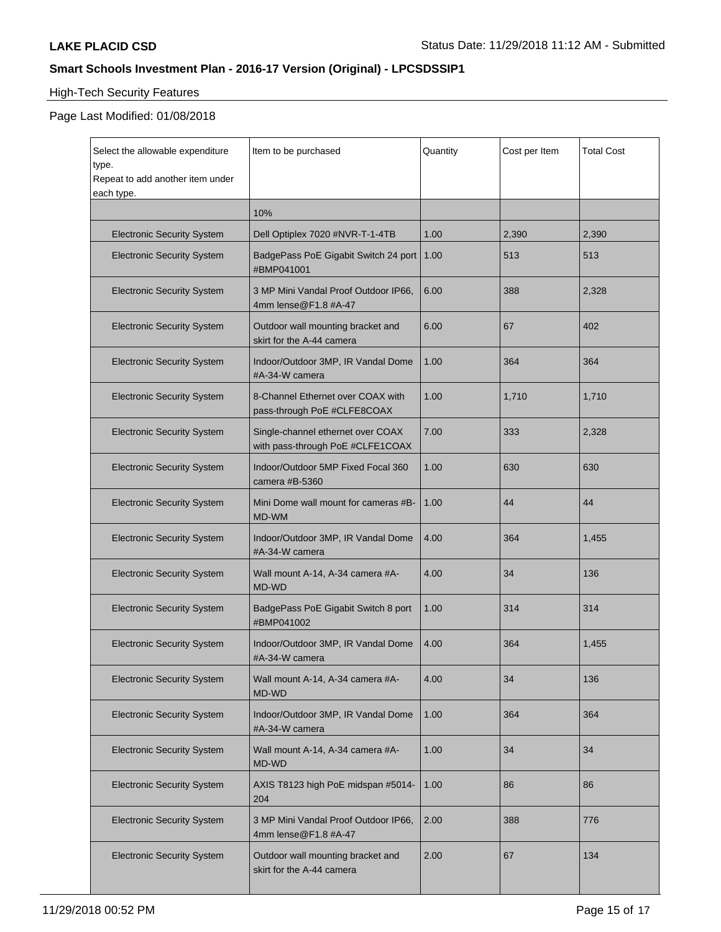# High-Tech Security Features

| Select the allowable expenditure<br>type.<br>Repeat to add another item under<br>each type. | Item to be purchased                                                  | Quantity | Cost per Item | <b>Total Cost</b> |
|---------------------------------------------------------------------------------------------|-----------------------------------------------------------------------|----------|---------------|-------------------|
|                                                                                             | 10%                                                                   |          |               |                   |
| <b>Electronic Security System</b>                                                           | Dell Optiplex 7020 #NVR-T-1-4TB                                       | 1.00     | 2,390         | 2,390             |
| <b>Electronic Security System</b>                                                           | BadgePass PoE Gigabit Switch 24 port<br>#BMP041001                    | 1.00     | 513           | 513               |
| <b>Electronic Security System</b>                                                           | 3 MP Mini Vandal Proof Outdoor IP66,<br>4mm lense@F1.8 #A-47          | 6.00     | 388           | 2,328             |
| <b>Electronic Security System</b>                                                           | Outdoor wall mounting bracket and<br>skirt for the A-44 camera        | 6.00     | 67            | 402               |
| <b>Electronic Security System</b>                                                           | Indoor/Outdoor 3MP, IR Vandal Dome<br>#A-34-W camera                  | 1.00     | 364           | 364               |
| <b>Electronic Security System</b>                                                           | 8-Channel Ethernet over COAX with<br>pass-through PoE #CLFE8COAX      | 1.00     | 1,710         | 1,710             |
| <b>Electronic Security System</b>                                                           | Single-channel ethernet over COAX<br>with pass-through PoE #CLFE1COAX | 7.00     | 333           | 2,328             |
| <b>Electronic Security System</b>                                                           | Indoor/Outdoor 5MP Fixed Focal 360<br>camera #B-5360                  | 1.00     | 630           | 630               |
| <b>Electronic Security System</b>                                                           | Mini Dome wall mount for cameras #B-<br>MD-WM                         | 1.00     | 44            | 44                |
| <b>Electronic Security System</b>                                                           | Indoor/Outdoor 3MP, IR Vandal Dome<br>#A-34-W camera                  | 4.00     | 364           | 1,455             |
| <b>Electronic Security System</b>                                                           | Wall mount A-14, A-34 camera #A-<br>MD-WD                             | 4.00     | 34            | 136               |
| <b>Electronic Security System</b>                                                           | BadgePass PoE Gigabit Switch 8 port<br>#BMP041002                     | 1.00     | 314           | 314               |
| <b>Electronic Security System</b>                                                           | Indoor/Outdoor 3MP, IR Vandal Dome<br>#A-34-W camera                  | 4.00     | 364           | 1,455             |
| <b>Electronic Security System</b>                                                           | Wall mount A-14, A-34 camera #A-<br>MD-WD                             | 4.00     | 34            | 136               |
| <b>Electronic Security System</b>                                                           | Indoor/Outdoor 3MP, IR Vandal Dome<br>#A-34-W camera                  | 1.00     | 364           | 364               |
| <b>Electronic Security System</b>                                                           | Wall mount A-14, A-34 camera #A-<br>MD-WD                             | 1.00     | 34            | 34                |
| <b>Electronic Security System</b>                                                           | AXIS T8123 high PoE midspan #5014-<br>204                             | 1.00     | 86            | 86                |
| <b>Electronic Security System</b>                                                           | 3 MP Mini Vandal Proof Outdoor IP66,<br>4mm lense@F1.8 #A-47          | 2.00     | 388           | 776               |
| <b>Electronic Security System</b>                                                           | Outdoor wall mounting bracket and<br>skirt for the A-44 camera        | 2.00     | 67            | 134               |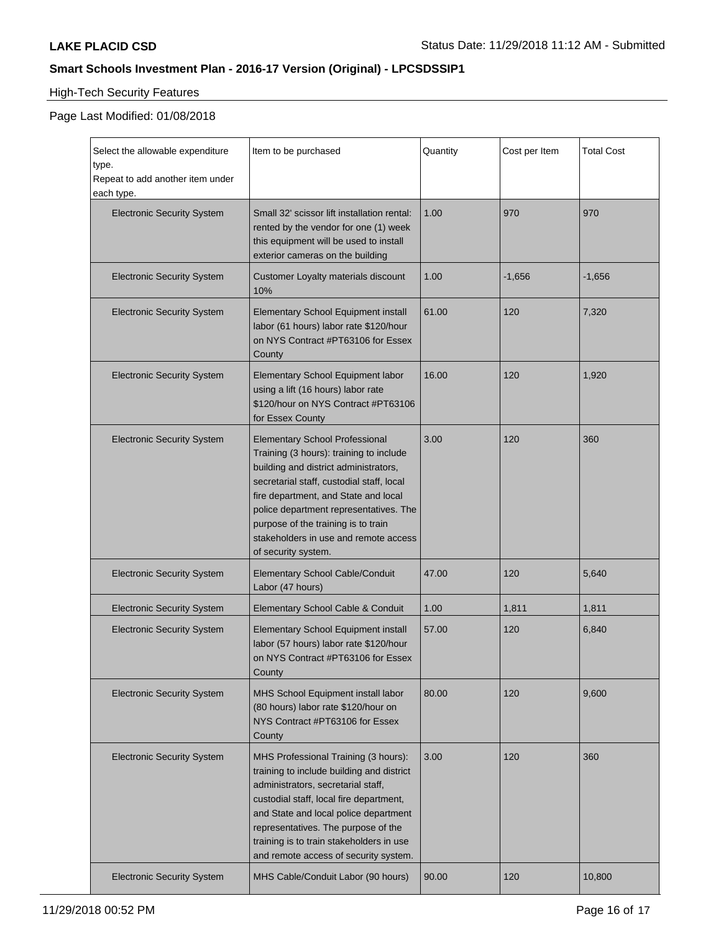# High-Tech Security Features

| Select the allowable expenditure<br>type.<br>Repeat to add another item under<br>each type. | Item to be purchased                                                                                                                                                                                                                                                                                                                                            | Quantity | Cost per Item | <b>Total Cost</b> |
|---------------------------------------------------------------------------------------------|-----------------------------------------------------------------------------------------------------------------------------------------------------------------------------------------------------------------------------------------------------------------------------------------------------------------------------------------------------------------|----------|---------------|-------------------|
| <b>Electronic Security System</b>                                                           | Small 32' scissor lift installation rental:<br>rented by the vendor for one (1) week<br>this equipment will be used to install<br>exterior cameras on the building                                                                                                                                                                                              | 1.00     | 970           | 970               |
| <b>Electronic Security System</b>                                                           | Customer Loyalty materials discount<br>10%                                                                                                                                                                                                                                                                                                                      | 1.00     | $-1,656$      | $-1,656$          |
| <b>Electronic Security System</b>                                                           | Elementary School Equipment install<br>labor (61 hours) labor rate \$120/hour<br>on NYS Contract #PT63106 for Essex<br>County                                                                                                                                                                                                                                   | 61.00    | 120           | 7,320             |
| <b>Electronic Security System</b>                                                           | Elementary School Equipment labor<br>using a lift (16 hours) labor rate<br>\$120/hour on NYS Contract #PT63106<br>for Essex County                                                                                                                                                                                                                              | 16.00    | 120           | 1,920             |
| <b>Electronic Security System</b>                                                           | <b>Elementary School Professional</b><br>Training (3 hours): training to include<br>building and district administrators,<br>secretarial staff, custodial staff, local<br>fire department, and State and local<br>police department representatives. The<br>purpose of the training is to train<br>stakeholders in use and remote access<br>of security system. | 3.00     | 120           | 360               |
| <b>Electronic Security System</b>                                                           | <b>Elementary School Cable/Conduit</b><br>Labor (47 hours)                                                                                                                                                                                                                                                                                                      | 47.00    | 120           | 5,640             |
| <b>Electronic Security System</b>                                                           | Elementary School Cable & Conduit                                                                                                                                                                                                                                                                                                                               | 1.00     | 1,811         | 1,811             |
| <b>Electronic Security System</b>                                                           | Elementary School Equipment install<br>labor (57 hours) labor rate \$120/hour<br>on NYS Contract #PT63106 for Essex<br>County                                                                                                                                                                                                                                   | 57.00    | 120           | 6,840             |
| <b>Electronic Security System</b>                                                           | MHS School Equipment install labor<br>(80 hours) labor rate \$120/hour on<br>NYS Contract #PT63106 for Essex<br>County                                                                                                                                                                                                                                          | 80.00    | 120           | 9,600             |
| <b>Electronic Security System</b>                                                           | MHS Professional Training (3 hours):<br>training to include building and district<br>administrators, secretarial staff,<br>custodial staff, local fire department,<br>and State and local police department<br>representatives. The purpose of the<br>training is to train stakeholders in use<br>and remote access of security system.                         | 3.00     | 120           | 360               |
| <b>Electronic Security System</b>                                                           | MHS Cable/Conduit Labor (90 hours)                                                                                                                                                                                                                                                                                                                              | 90.00    | 120           | 10,800            |